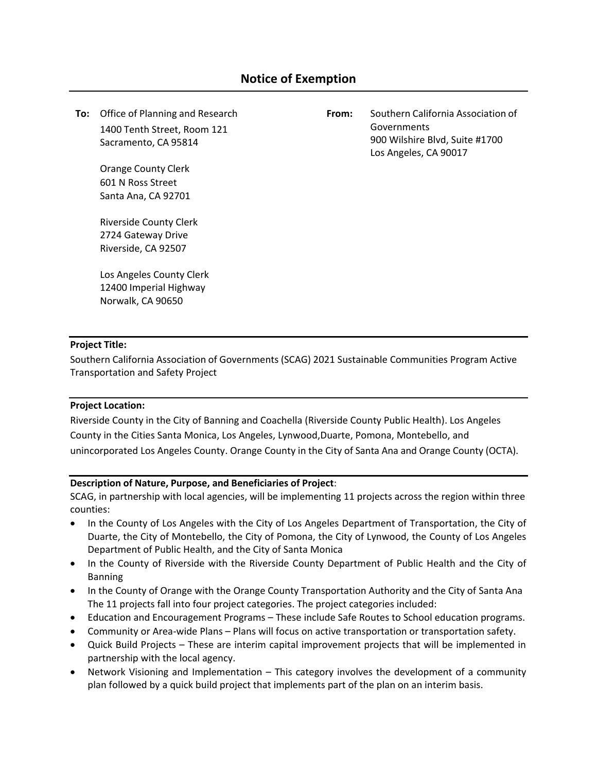**To:** Office of Planning and Research 1400 Tenth Street, Room 121 Sacramento, CA 95814

> Orange County Clerk 601 N Ross Street Santa Ana, CA 92701

Riverside County Clerk 2724 Gateway Drive Riverside, CA 92507

Los Angeles County Clerk 12400 Imperial Highway Norwalk, CA 90650

**From:** Southern California Association of Governments 900 Wilshire Blvd, Suite #1700 Los Angeles, CA 90017

### **Project Title:**

Southern California Association of Governments (SCAG) 2021 Sustainable Communities Program Active Transportation and Safety Project

#### **Project Location:**

Riverside County in the City of Banning and Coachella (Riverside County Public Health). Los Angeles County in the Cities Santa Monica, Los Angeles, Lynwood,Duarte, Pomona, Montebello, and unincorporated Los Angeles County. Orange County in the City of Santa Ana and Orange County (OCTA).

#### **Description of Nature, Purpose, and Beneficiaries of Project**:

SCAG, in partnership with local agencies, will be implementing 11 projects across the region within three counties:

- In the County of Los Angeles with the City of Los Angeles Department of Transportation, the City of Duarte, the City of Montebello, the City of Pomona, the City of Lynwood, the County of Los Angeles Department of Public Health, and the City of Santa Monica
- In the County of Riverside with the Riverside County Department of Public Health and the City of Banning
- In the County of Orange with the Orange County Transportation Authority and the City of Santa Ana The 11 projects fall into four project categories. The project categories included:
- Education and Encouragement Programs These include Safe Routes to School education programs.
- Community or Area-wide Plans Plans will focus on active transportation or transportation safety.
- Quick Build Projects These are interim capital improvement projects that will be implemented in partnership with the local agency.
- Network Visioning and Implementation This category involves the development of a community plan followed by a quick build project that implements part of the plan on an interim basis.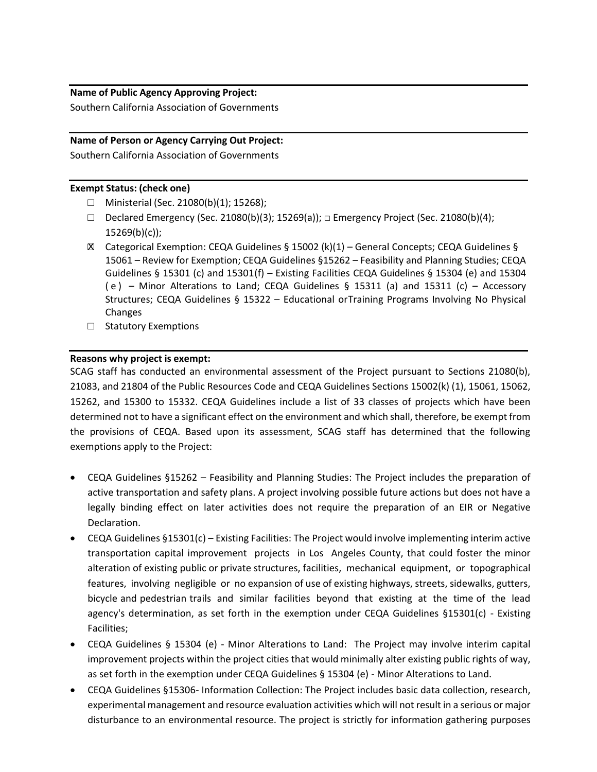## **Name of Public Agency Approving Project:**

Southern California Association of Governments

# **Name of Person or Agency Carrying Out Project:**

Southern California Association of Governments

#### **Exempt Status: (check one)**

- □ Ministerial (Sec. 21080(b)(1); 15268);
- □ Declared Emergency (Sec. 21080(b)(3); 15269(a)); □ Emergency Project (Sec. 21080(b)(4);  $15269(b)(c)$ ;
- $\boxtimes$  Categorical Exemption: CEQA Guidelines § 15002 (k)(1) General Concepts; CEQA Guidelines § 15061 – Review for Exemption; CEQA Guidelines §15262 – Feasibility and Planning Studies; CEQA Guidelines § 15301 (c) and 15301(f) – Existing Facilities CEQA Guidelines § 15304 (e) and 15304 (e) – Minor Alterations to Land; CEQA Guidelines § 15311 (a) and 15311 (c) – Accessory Structures; CEQA Guidelines § 15322 – Educational orTraining Programs Involving No Physical Changes
- □ Statutory Exemptions

### **Reasons why project is exempt:**

SCAG staff has conducted an environmental assessment of the Project pursuant to Sections 21080(b), 21083, and 21804 of the Public Resources Code and CEQA Guidelines Sections 15002(k) (1), 15061, 15062, 15262, and 15300 to 15332. CEQA Guidelines include a list of 33 classes of projects which have been determined not to have a significant effect on the environment and which shall, therefore, be exempt from the provisions of CEQA. Based upon its assessment, SCAG staff has determined that the following exemptions apply to the Project:

- CEQA Guidelines §15262 Feasibility and Planning Studies: The Project includes the preparation of active transportation and safety plans. A project involving possible future actions but does not have a legally binding effect on later activities does not require the preparation of an EIR or Negative Declaration.
- CEQA Guidelines §15301(c) Existing Facilities: The Project would involve implementing interim active transportation capital improvement projects in Los Angeles County, that could foster the minor alteration of existing public or private structures, facilities, mechanical equipment, or topographical features, involving negligible or no expansion of use of existing highways, streets, sidewalks, gutters, bicycle and pedestrian trails and similar facilities beyond that existing at the time of the lead agency's determination, as set forth in the exemption under CEQA Guidelines §15301(c) - Existing Facilities;
- CEQA Guidelines § 15304 (e) Minor Alterations to Land: The Project may involve interim capital improvement projects within the project cities that would minimally alter existing public rights of way, as set forth in the exemption under CEQA Guidelines § 15304 (e) - Minor Alterations to Land.
- CEQA Guidelines §15306- Information Collection: The Project includes basic data collection, research, experimental management and resource evaluation activities which will not result in a serious or major disturbance to an environmental resource. The project is strictly for information gathering purposes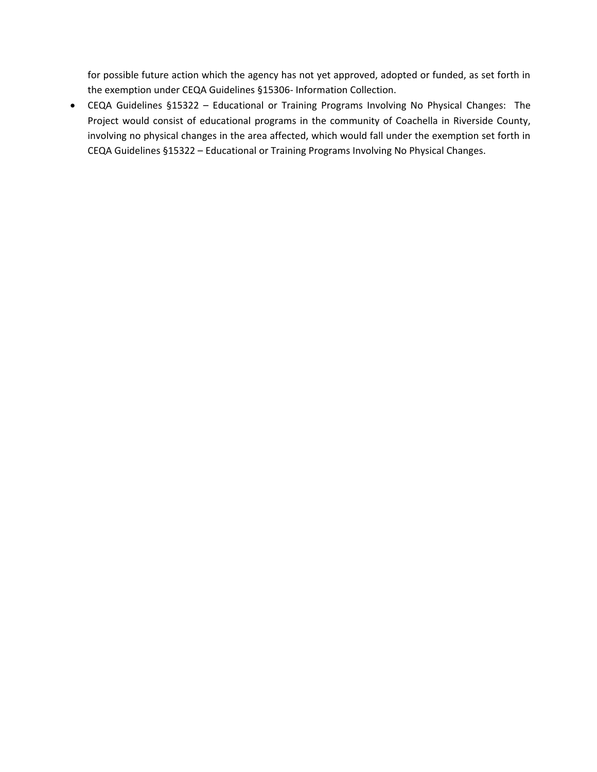for possible future action which the agency has not yet approved, adopted or funded, as set forth in the exemption under CEQA Guidelines §15306- Information Collection.

• CEQA Guidelines §15322 – Educational or Training Programs Involving No Physical Changes: The Project would consist of educational programs in the community of Coachella in Riverside County, involving no physical changes in the area affected, which would fall under the exemption set forth in CEQA Guidelines §15322 – Educational or Training Programs Involving No Physical Changes.